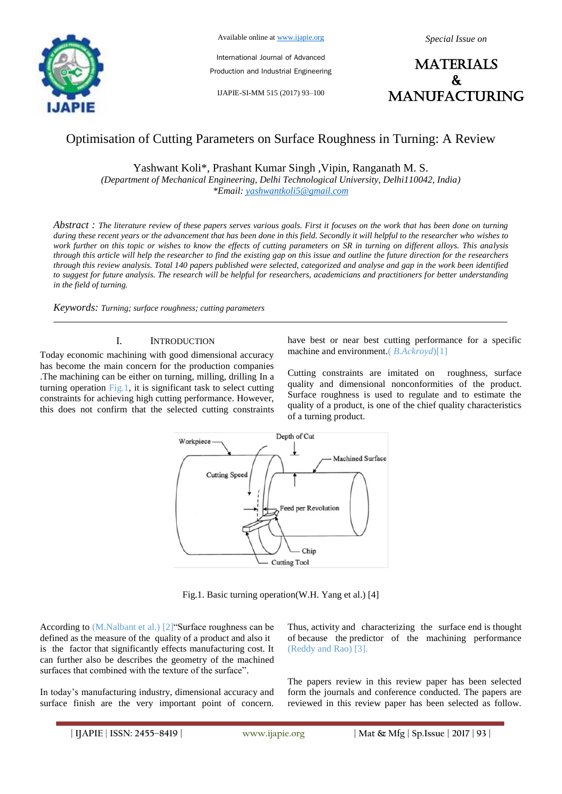

Available online at www.ijapie.org

International Journal of Advanced Production and Industrial Engineering

IJAPIE-SI-MM 515 (2017) 93–100

**MATERIALS**  $\mathbf{k}$ manufacturing

# Optimisation of Cutting Parameters on Surface Roughness in Turning: A Review

Yashwant Koli\*, Prashant Kumar Singh ,Vipin, Ranganath M. S.

*(Department of Mechanical Engineering, Delhi Technological University, Delhi110042, India) \*Email: yashwantkoli5@gmail.com* 

*Abstract : The literature review of these papers serves various goals. First it focuses on the work that has been done on turning during these recent years or the advancement that has been done in this field. Secondly it will helpful to the researcher who wishes to work further on this topic or wishes to know the effects of cutting parameters on SR in turning on different alloys. This analysis through this article will help the researcher to find the existing gap on this issue and outline the future direction for the researchers through this review analysis. Total 140 papers published were selected, categorized and analyse and gap in the work been identified to suggest for future analysis. The research will be helpful for researchers, academicians and practitioners for better understanding in the field of turning.*

*Keywords: Turning; surface roughness; cutting parameters*

### I. INTRODUCTION

Today economic machining with good dimensional accuracy has become the main concern for the production companies .The machining can be either on turning, milling, drilling In a turning operation Fig.1, it is significant task to select cutting constraints for achieving high cutting performance. However, this does not confirm that the selected cutting constraints have best or near best cutting performance for a specific machine and environment.( *B.Ackroyd*)[1]

Cutting constraints are imitated on roughness, surface quality and dimensional nonconformities of the product. Surface roughness is used to regulate and to estimate the quality of a product, is one of the chief quality characteristics of a turning product.



Fig.1. Basic turning operation(W.H. Yang et al.) [4]

According to (M.Nalbant et al.) [2] "Surface roughness can be defined as the measure of the quality of a product and also it is the factor that significantly effects manufacturing cost. It can further also be describes the geometry of the machined surfaces that combined with the texture of the surface".

In today's manufacturing industry, dimensional accuracy and surface finish are the very important point of concern.

Thus, activity and characterizing the surface end is thought of because the predictor of the machining performance (Reddy and Rao) [3].

The papers review in this review paper has been selected form the journals and conference conducted. The papers are reviewed in this review paper has been selected as follow.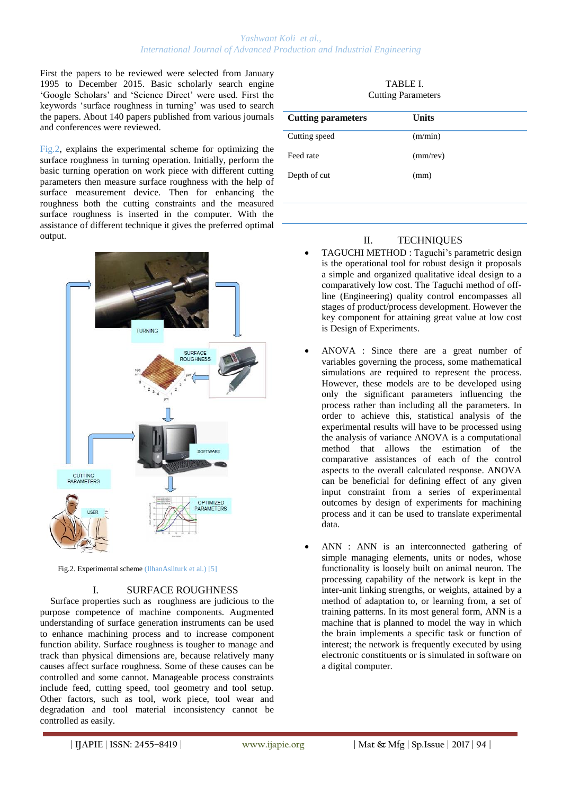### *Yashwant Koli et al., International Journal of Advanced Production and Industrial Engineering*

First the papers to be reviewed were selected from January 1995 to December 2015. Basic scholarly search engine ‗Google Scholars' and ‗Science Direct' were used. First the keywords 'surface roughness in turning' was used to search the papers. About 140 papers published from various journals and conferences were reviewed.

Fig.2, explains the experimental scheme for optimizing the surface roughness in turning operation. Initially, perform the basic turning operation on work piece with different cutting parameters then measure surface roughness with the help of surface measurement device. Then for enhancing the roughness both the cutting constraints and the measured surface roughness is inserted in the computer. With the assistance of different technique it gives the preferred optimal output.



Fig.2. Experimental scheme (IlhanAsilturk et al.) [5]

#### I. SURFACE ROUGHNESS

Surface properties such as roughness are judicious to the purpose competence of machine components. Augmented understanding of surface generation instruments can be used to enhance machining process and to increase component function ability. Surface roughness is tougher to manage and track than physical dimensions are, because relatively many causes affect surface roughness. Some of these causes can be controlled and some cannot. Manageable process constraints include feed, cutting speed, tool geometry and tool setup. Other factors, such as tool, work piece, tool wear and degradation and tool material inconsistency cannot be controlled as easily.

| TABLE I.                  |  |  |  |
|---------------------------|--|--|--|
| <b>Cutting Parameters</b> |  |  |  |

| Units       |
|-------------|
| (m/min)     |
| $(mm$ /rev) |
| (mm)        |
|             |

# II. TECHNIQUES

- TAGUCHI METHOD : Taguchi's parametric design is the operational tool for robust design it proposals a simple and organized qualitative ideal design to a comparatively low cost. The Taguchi method of offline (Engineering) quality control encompasses all stages of product/process development. However the key component for attaining great value at low cost is Design of Experiments.
- ANOVA : Since there are a great number of variables governing the process, some mathematical simulations are required to represent the process. However, these models are to be developed using only the significant parameters influencing the process rather than including all the parameters. In order to achieve this, statistical analysis of the experimental results will have to be processed using the analysis of variance ANOVA is a computational method that allows the estimation of the comparative assistances of each of the control aspects to the overall calculated response. ANOVA can be beneficial for defining effect of any given input constraint from a series of experimental outcomes by design of experiments for machining process and it can be used to translate experimental data.
- ANN : ANN is an interconnected gathering of simple managing elements, units or nodes, whose functionality is loosely built on animal neuron. The processing capability of the network is kept in the inter-unit linking strengths, or weights, attained by a method of adaptation to, or learning from, a set of training patterns. In its most general form, ANN is a machine that is planned to model the way in which the brain implements a specific task or function of interest; the network is frequently executed by using electronic constituents or is simulated in software on a digital computer.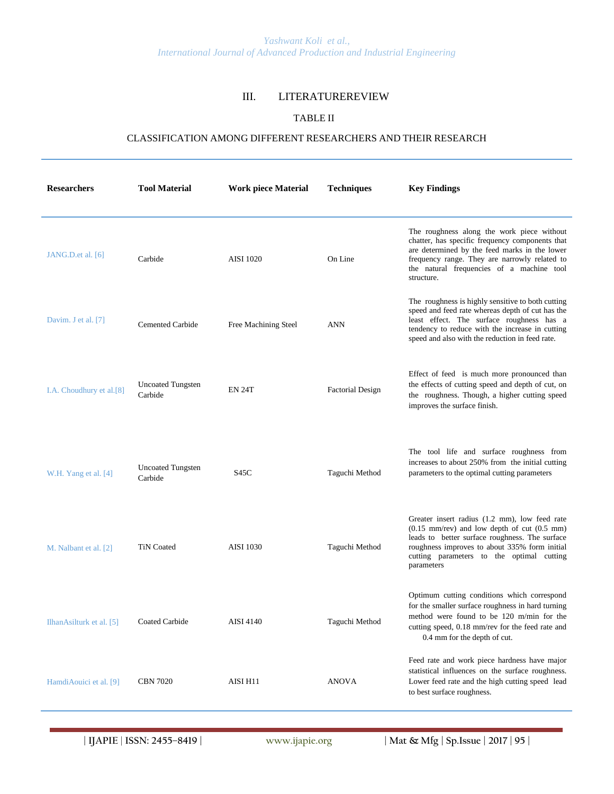# III. LITERATUREREVIEW

# TABLE II

## CLASSIFICATION AMONG DIFFERENT RESEARCHERS AND THEIR RESEARCH

| <b>Researchers</b>                      | <b>Tool Material</b>                | <b>Work piece Material</b> | <b>Techniques</b>       | <b>Key Findings</b>                                                                                                                                                                                                                                                            |
|-----------------------------------------|-------------------------------------|----------------------------|-------------------------|--------------------------------------------------------------------------------------------------------------------------------------------------------------------------------------------------------------------------------------------------------------------------------|
| JANG.D.et al. $[6]$                     | Carbide                             | <b>AISI</b> 1020           | On Line                 | The roughness along the work piece without<br>chatter, has specific frequency components that<br>are determined by the feed marks in the lower<br>frequency range. They are narrowly related to<br>the natural frequencies of a machine tool<br>structure.                     |
| Davim. J et al. [7]                     | <b>Cemented Carbide</b>             | Free Machining Steel       | ANN                     | The roughness is highly sensitive to both cutting<br>speed and feed rate whereas depth of cut has the<br>least effect. The surface roughness has a<br>tendency to reduce with the increase in cutting<br>speed and also with the reduction in feed rate.                       |
| I.A. Choudhury et al.[8]                | <b>Uncoated Tungsten</b><br>Carbide | <b>EN 24T</b>              | <b>Factorial Design</b> | Effect of feed is much more pronounced than<br>the effects of cutting speed and depth of cut, on<br>the roughness. Though, a higher cutting speed<br>improves the surface finish.                                                                                              |
| W.H. Yang et al. [4]                    | <b>Uncoated Tungsten</b><br>Carbide | S45C                       | Taguchi Method          | The tool life and surface roughness from<br>increases to about 250% from the initial cutting<br>parameters to the optimal cutting parameters                                                                                                                                   |
| M. Nalbant et al. [2]                   | <b>TiN Coated</b>                   | <b>AISI</b> 1030           | Taguchi Method          | Greater insert radius (1.2 mm), low feed rate<br>$(0.15 \text{ mm/rev})$ and low depth of cut $(0.5 \text{ mm})$<br>leads to better surface roughness. The surface<br>roughness improves to about 335% form initial<br>cutting parameters to the optimal cutting<br>parameters |
| IlhanAsilturk et al. [5] Coated Carbide |                                     | AISI 4140                  | Taguchi Method          | Optimum cutting conditions which correspond<br>for the smaller surface roughness in hard turning<br>method were found to be 120 m/min for the<br>cutting speed, 0.18 mm/rev for the feed rate and<br>0.4 mm for the depth of cut.                                              |
| HamdiAouici et al. [9]                  | <b>CBN 7020</b>                     | AISI H11                   | <b>ANOVA</b>            | Feed rate and work piece hardness have major<br>statistical influences on the surface roughness.<br>Lower feed rate and the high cutting speed lead<br>to best surface roughness.                                                                                              |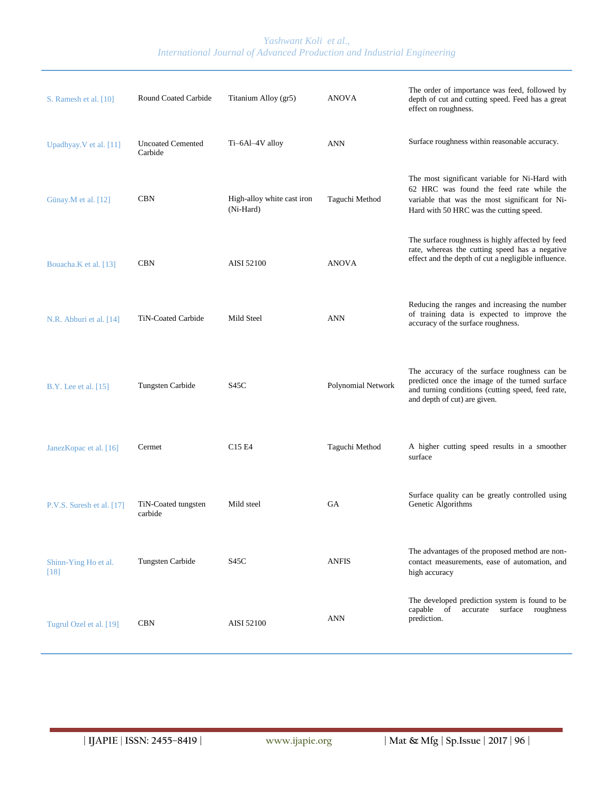| S. Ramesh et al. [10]          | Round Coated Carbide                | Titanium Alloy (gr5)                    | <b>ANOVA</b>              | The order of importance was feed, followed by<br>depth of cut and cutting speed. Feed has a great<br>effect on roughness.                                                               |
|--------------------------------|-------------------------------------|-----------------------------------------|---------------------------|-----------------------------------------------------------------------------------------------------------------------------------------------------------------------------------------|
| Upadhyay. V et al. [11]        | <b>Uncoated Cemented</b><br>Carbide | Ti-6Al-4V alloy                         | <b>ANN</b>                | Surface roughness within reasonable accuracy.                                                                                                                                           |
| Günay.M et al. [12]            | <b>CBN</b>                          | High-alloy white cast iron<br>(Ni-Hard) | Taguchi Method            | The most significant variable for Ni-Hard with<br>62 HRC was found the feed rate while the<br>variable that was the most significant for Ni-<br>Hard with 50 HRC was the cutting speed. |
| Bouacha.K et al. [13]          | <b>CBN</b>                          | AISI 52100                              | <b>ANOVA</b>              | The surface roughness is highly affected by feed<br>rate, whereas the cutting speed has a negative<br>effect and the depth of cut a negligible influence.                               |
| N.R. Abburi et al. [14]        | TiN-Coated Carbide                  | Mild Steel                              | <b>ANN</b>                | Reducing the ranges and increasing the number<br>of training data is expected to improve the<br>accuracy of the surface roughness.                                                      |
| B.Y. Lee et al. [15]           | Tungsten Carbide                    | S45C                                    | <b>Polynomial Network</b> | The accuracy of the surface roughness can be<br>predicted once the image of the turned surface<br>and turning conditions (cutting speed, feed rate,<br>and depth of cut) are given.     |
| JanezKopac et al. [16]         | Cermet                              | C <sub>15</sub> E <sub>4</sub>          | Taguchi Method            | A higher cutting speed results in a smoother<br>surface                                                                                                                                 |
| P.V.S. Suresh et al. [17]      | TiN-Coated tungsten<br>carbide      | Mild steel                              | <b>GA</b>                 | Surface quality can be greatly controlled using<br>Genetic Algorithms                                                                                                                   |
| Shinn-Ying Ho et al.<br>$[18]$ | Tungsten Carbide                    | S45C                                    | <b>ANFIS</b>              | The advantages of the proposed method are non-<br>contact measurements, ease of automation, and<br>high accuracy                                                                        |
| Tugrul Ozel et al. [19]        | <b>CBN</b>                          | AISI 52100                              | ANN                       | The developed prediction system is found to be<br>capable<br>of<br>surface<br>accurate<br>roughness<br>prediction.                                                                      |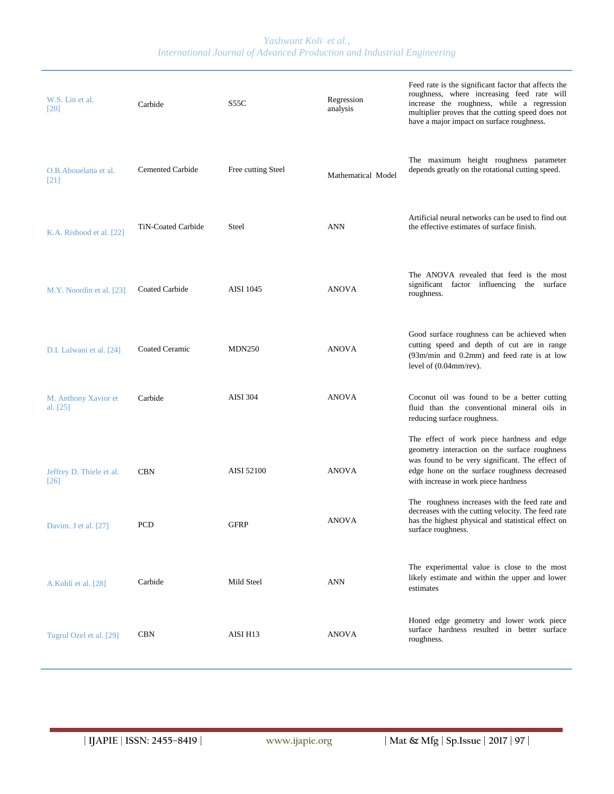*Yashwant Koli et al., International Journal of Advanced Production and Industrial Engineering*

| W.S. Lin et al.<br>[20]                        | Carbide                 | S55C               | Regression<br>analysis | Feed rate is the significant factor that affects the<br>roughness, where increasing feed rate will<br>increase the roughness, while a regression<br>multiplier proves that the cutting speed does not<br>have a major impact on surface roughness. |
|------------------------------------------------|-------------------------|--------------------|------------------------|----------------------------------------------------------------------------------------------------------------------------------------------------------------------------------------------------------------------------------------------------|
| O.B. Abouelatta et al.<br>$[21]$               | <b>Cemented Carbide</b> | Free cutting Steel | Mathematical Model     | The maximum height roughness parameter<br>depends greatly on the rotational cutting speed.                                                                                                                                                         |
| K.A. Risbood et al. [22]                       | TiN-Coated Carbide      | Steel              | <b>ANN</b>             | Artificial neural networks can be used to find out<br>the effective estimates of surface finish.                                                                                                                                                   |
| M.Y. Noordin et al. [23]                       | Coated Carbide          | <b>AISI</b> 1045   | <b>ANOVA</b>           | The ANOVA revealed that feed is the most<br>factor influencing the surface<br>significant<br>roughness.                                                                                                                                            |
| D.I. Lalwani et al. [24]                       | Coated Ceramic          | <b>MDN250</b>      | <b>ANOVA</b>           | Good surface roughness can be achieved when<br>cutting speed and depth of cut are in range<br>$(93m/min$ and $0.2mm$ ) and feed rate is at low<br>level of $(0.04$ mm/rev).                                                                        |
| M. Anthony Xavior et<br>al. $[25]$             | Carbide                 | <b>AISI 304</b>    | <b>ANOVA</b>           | Coconut oil was found to be a better cutting<br>fluid than the conventional mineral oils in<br>reducing surface roughness.                                                                                                                         |
| Jeffrey D. Thiele et al.<br>$\lceil 26 \rceil$ | <b>CBN</b>              | AISI 52100         | <b>ANOVA</b>           | The effect of work piece hardness and edge<br>geometry interaction on the surface roughness<br>was found to be very significant. The effect of<br>edge hone on the surface roughness decreased<br>with increase in work piece hardness             |
| Davim. J et al. [27]                           | PCD                     | <b>GFRP</b>        | <b>ANOVA</b>           | The roughness increases with the feed rate and<br>decreases with the cutting velocity. The feed rate<br>has the highest physical and statistical effect on<br>surface roughness.                                                                   |
| A.Kohli et al. [28]                            | Carbide                 | Mild Steel         | ANN                    | The experimental value is close to the most<br>likely estimate and within the upper and lower<br>estimates                                                                                                                                         |
| Tugrul Ozel et al. [29]                        | <b>CBN</b>              | AISI H13           | <b>ANOVA</b>           | Honed edge geometry and lower work piece<br>surface hardness resulted in better surface<br>roughness.                                                                                                                                              |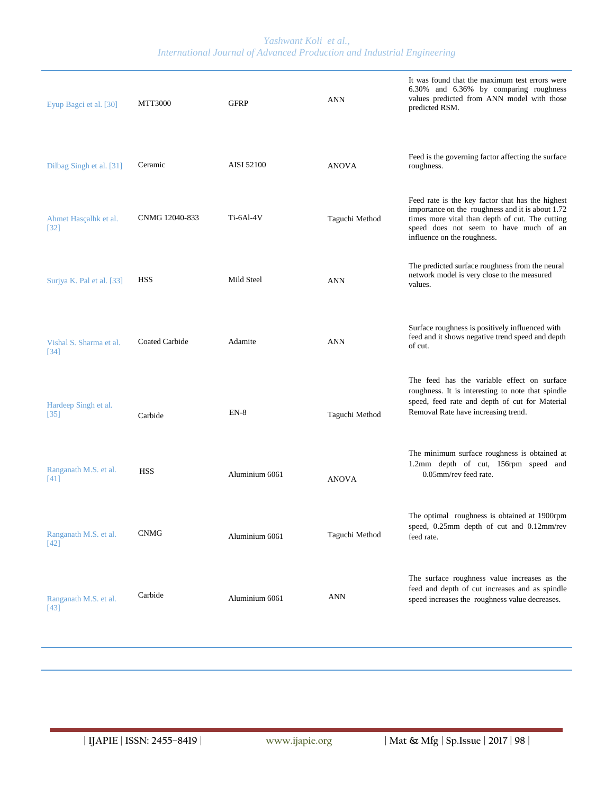*Yashwant Koli et al., International Journal of Advanced Production and Industrial Engineering*

| Eyup Bagci et al. [30]          | <b>MTT3000</b>        | <b>GFRP</b>    | <b>ANN</b>     | It was found that the maximum test errors were<br>6.30% and 6.36% by comparing roughness<br>values predicted from ANN model with those<br>predicted RSM.                                                                         |
|---------------------------------|-----------------------|----------------|----------------|----------------------------------------------------------------------------------------------------------------------------------------------------------------------------------------------------------------------------------|
| Dilbag Singh et al. [31]        | Ceramic               | AISI 52100     | <b>ANOVA</b>   | Feed is the governing factor affecting the surface<br>roughness.                                                                                                                                                                 |
| Ahmet Hasçalhk et al.<br>$[32]$ | CNMG 12040-833        | Ti-6Al-4V      | Taguchi Method | Feed rate is the key factor that has the highest<br>importance on the roughness and it is about 1.72<br>times more vital than depth of cut. The cutting<br>speed does not seem to have much of an<br>influence on the roughness. |
| Surjya K. Pal et al. [33]       | <b>HSS</b>            | Mild Steel     | <b>ANN</b>     | The predicted surface roughness from the neural<br>network model is very close to the measured<br>values.                                                                                                                        |
| Vishal S. Sharma et al.<br>[34] | <b>Coated Carbide</b> | Adamite        | <b>ANN</b>     | Surface roughness is positively influenced with<br>feed and it shows negative trend speed and depth<br>of cut.                                                                                                                   |
| Hardeep Singh et al.<br>$[35]$  | Carbide               | $EN-8$         | Taguchi Method | The feed has the variable effect on surface<br>roughness. It is interesting to note that spindle<br>speed, feed rate and depth of cut for Material<br>Removal Rate have increasing trend.                                        |
| Ranganath M.S. et al.<br>[41]   | <b>HSS</b>            | Aluminium 6061 | <b>ANOVA</b>   | The minimum surface roughness is obtained at<br>1.2mm depth of cut, 156rpm speed and<br>0.05mm/rev feed rate.                                                                                                                    |
| Ranganath M.S. et al.<br>$[42]$ | <b>CNMG</b>           | Aluminium 6061 | Taguchi Method | The optimal roughness is obtained at 1900rpm<br>speed, 0.25mm depth of cut and 0.12mm/rev<br>feed rate.                                                                                                                          |
| Ranganath M.S. et al.<br>$[43]$ | Carbide               | Aluminium 6061 | <b>ANN</b>     | The surface roughness value increases as the<br>feed and depth of cut increases and as spindle<br>speed increases the roughness value decreases.                                                                                 |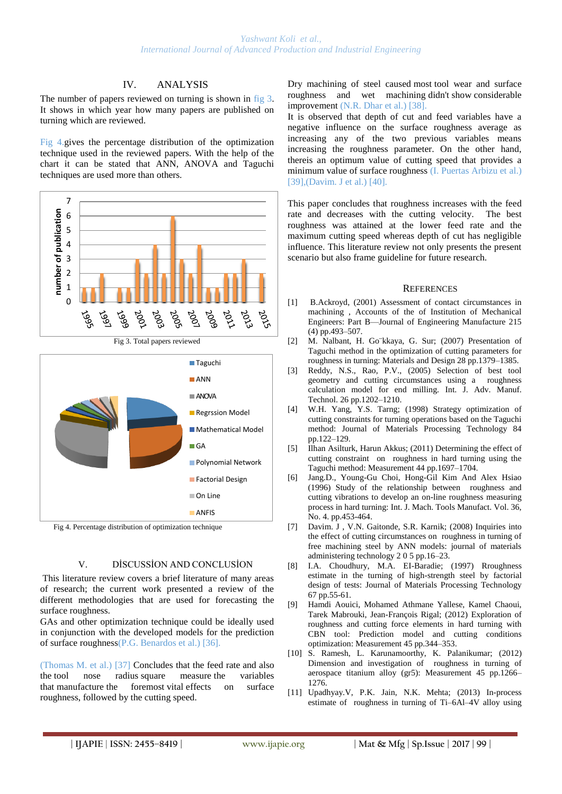## IV. ANALYSIS

The number of papers reviewed on turning is shown in fig 3. It shows in which year how many papers are published on turning which are reviewed.

Fig 4.gives the percentage distribution of the optimization technique used in the reviewed papers. With the help of the chart it can be stated that ANN, ANOVA and Taguchi techniques are used more than others.



Fig 4. Percentage distribution of optimization technique

### V. DİSCUSSİON AND CONCLUSİON

This literature review covers a brief literature of many areas of research; the current work presented a review of the different methodologies that are used for forecasting the surface roughness.

GAs and other optimization technique could be ideally used in conjunction with the developed models for the prediction of surface roughness(P.G. Benardos et al.) [36].

(Thomas M. et al.) [37] Concludes that the feed rate and also the tool nose radius square measure the variables that manufacture the foremost vital effects on surface roughness, followed by the cutting speed.

Dry machining of steel caused most tool wear and surface roughness and wet machining didn't show considerable improvement (N.R. Dhar et al.) [38].

It is observed that depth of cut and feed variables have a negative influence on the surface roughness average as increasing any of the two previous variables means increasing the roughness parameter. On the other hand, thereis an optimum value of cutting speed that provides a minimum value of surface roughness (I. Puertas Arbizu et al.) [39], (Davim. J et al.) [40].

This paper concludes that roughness increases with the feed rate and decreases with the cutting velocity. The best roughness was attained at the lower feed rate and the maximum cutting speed whereas depth of cut has negligible influence. This literature review not only presents the present scenario but also frame guideline for future research.

#### **REFERENCES**

- [1] B.Ackroyd, (2001) Assessment of contact circumstances in machining , Accounts of the of Institution of Mechanical Engineers: Part B—Journal of Engineering Manufacture 215 (4) pp.493–507.
- [2] M. Nalbant, H. Go¨kkaya, G. Sur; (2007) Presentation of Taguchi method in the optimization of cutting parameters for roughness in turning: Materials and Design 28 pp.1379–1385.
- [3] Reddy, N.S., Rao, P.V., (2005) Selection of best tool geometry and cutting circumstances using a roughness calculation model for end milling. Int. J. Adv. Manuf. Technol. 26 pp.1202–1210.
- [4] W.H. Yang, Y.S. Tarng; (1998) Strategy optimization of cutting constraints for turning operations based on the Taguchi method: Journal of Materials Processing Technology 84 pp.122–129.
- [5] Ilhan Asilturk, Harun Akkus; (2011) Determining the effect of cutting constraint on roughness in hard turning using the Taguchi method: Measurement 44 pp.1697–1704.
- [6] Jang.D., Young-Gu Choi, Hong-Gil Kim And Alex Hsiao (1996) Study of the relationship between roughness and cutting vibrations to develop an on-line roughness measuring process in hard turning: Int. J. Mach. Tools Manufact. Vol. 36, No. 4. pp.453-464.
- [7] Davim. J , V.N. Gaitonde, S.R. Karnik; (2008) Inquiries into the effect of cutting circumstances on roughness in turning of free machining steel by ANN models: journal of materials administering technology 2 0 5 pp.16–23.
- [8] I.A. Choudhury, M.A. EI-Baradie; (1997) Rroughness estimate in the turning of high-strength steel by factorial design of tests: Journal of Materials Processing Technology 67 pp.55-61.
- [9] Hamdi Aouici, Mohamed Athmane Yallese, Kamel Chaoui, Tarek Mabrouki, Jean-François Rigal; (2012) Exploration of roughness and cutting force elements in hard turning with CBN tool: Prediction model and cutting conditions optimization: Measurement 45 pp.344–353.
- [10] S. Ramesh, L. Karunamoorthy, K. Palanikumar; (2012) Dimension and investigation of roughness in turning of aerospace titanium alloy (gr5): Measurement 45 pp.1266– 1276.
- [11] Upadhyay.V, P.K. Jain, N.K. Mehta; (2013) In-process estimate of roughness in turning of Ti–6Al–4V alloy using